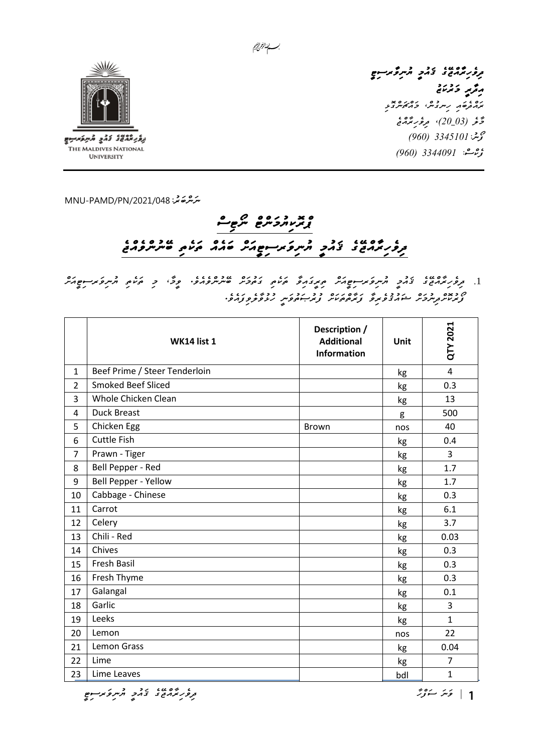

برقر شمهي كالأبي السراقات والمستواني THE MALDIVES NATIONAL **UNIVERSITY** 

*ﯩﻨﺮُﻣ*ﯘﻏﻴﺮ: MNU-PAMD/PN/2021/048

## *ޕްރޮކިޔުމަންޓް ނޯޓިސް ދިވެހިރާއްޖޭގެ ޤައުމީ ޔުނިވަރސިޓީއަށް ބައެއް ތަކެތި ބޭނުންވެއްޖެ*

.1 1 1 1 1 10000 10 10000 میروکدیم کرده ۲۰۰۵ میلاده در ۱۲۵۵ میلادیم است.<br>1. تر*وز ترم*ون دمو شریع نویکرم میروکدیم کرده در صربر ورد وی و کرده شریع کرد. *ފޯރުކޮށްދިނުމަށް ޝައުޤުވެރިވާ ފަރާތްތަކަށް ފުރުޞަތުވަނީ ހުޅުވާލެވިފައެވ.ެ* 

|                | <b>WK14 list 1</b>            | Description /<br><b>Additional</b><br><b>Information</b> | Unit | QTY 2021       |
|----------------|-------------------------------|----------------------------------------------------------|------|----------------|
| $\mathbf{1}$   | Beef Prime / Steer Tenderloin |                                                          | kg   | $\overline{4}$ |
| $\overline{2}$ | <b>Smoked Beef Sliced</b>     |                                                          | kg   | 0.3            |
| 3              | Whole Chicken Clean           |                                                          | kg   | 13             |
| 4              | <b>Duck Breast</b>            |                                                          | g    | 500            |
| 5              | Chicken Egg                   | <b>Brown</b>                                             | nos  | 40             |
| 6              | <b>Cuttle Fish</b>            |                                                          | kg   | 0.4            |
| $\overline{7}$ | Prawn - Tiger                 |                                                          | kg   | 3              |
| 8              | Bell Pepper - Red             |                                                          | kg   | 1.7            |
| 9              | Bell Pepper - Yellow          |                                                          | kg   | 1.7            |
| 10             | Cabbage - Chinese             |                                                          | kg   | 0.3            |
| 11             | Carrot                        |                                                          | kg   | 6.1            |
| 12             | Celery                        |                                                          | kg   | 3.7            |
| 13             | Chili - Red                   |                                                          | kg   | 0.03           |
| 14             | Chives                        |                                                          | kg   | 0.3            |
| 15             | Fresh Basil                   |                                                          | kg   | 0.3            |
| 16             | Fresh Thyme                   |                                                          | kg   | 0.3            |
| 17             | Galangal                      |                                                          | kg   | 0.1            |
| 18             | Garlic                        |                                                          | kg   | 3              |
| 19             | Leeks                         |                                                          | kg   | $\mathbf{1}$   |
| 20             | Lemon                         |                                                          | nos  | 22             |
| 21             | Lemon Grass                   |                                                          | kg   | 0.04           |
| 22             | Lime                          |                                                          | kg   | $\overline{7}$ |
| 23             | Lime Leaves                   |                                                          | bdl  | $\mathbf{1}$   |

*ވަނަ ސަފްހާ | ދިވެހިރާއްޖޭގެ ޤައުމީ ޔުނިވަރސިޓީ*

*ދިވެހިރާއްޖޭގެ ޤައުމީ ޔުނިވާރސިޓީ* 

ره و روم دوره بو<br>برا*زخوه د رس*روش کرامکرسرونو مَّرَ *فِي (20\_30)، مِروْرِ بَدْ*مَةَ  *ފޯނ3345101:ު )960( ފެކްސ:ް 3344091 )960(* 

**ﻣِﻣُﺮِ ﺩَﺗُﺮَﻣَﺔ**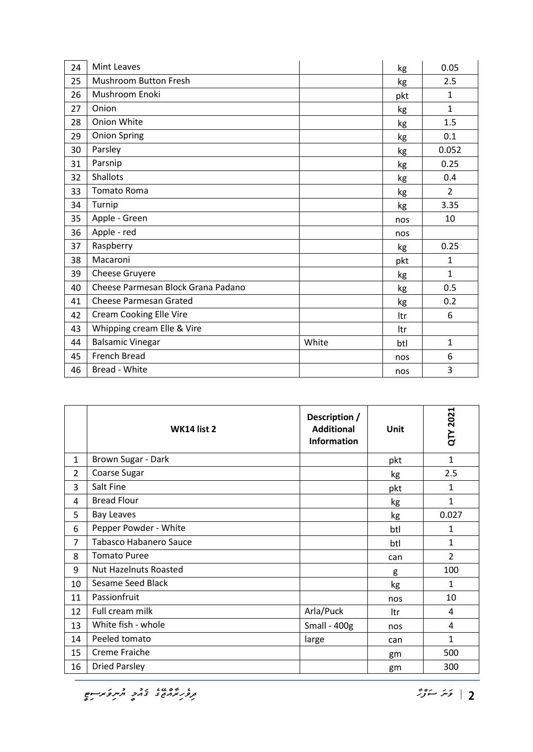| 24 | <b>Mint Leaves</b>                 |       | kg  | 0.05           |
|----|------------------------------------|-------|-----|----------------|
| 25 | Mushroom Button Fresh              |       | kg  | 2.5            |
| 26 | Mushroom Enoki                     |       | pkt | $\mathbf{1}$   |
| 27 | Onion                              |       | kg  | $\mathbf{1}$   |
| 28 | Onion White                        |       | kg  | 1.5            |
| 29 | <b>Onion Spring</b>                |       | kg  | 0.1            |
| 30 | Parsley                            |       | kg  | 0.052          |
| 31 | Parsnip                            |       | kg  | 0.25           |
| 32 | <b>Shallots</b>                    |       | kg  | 0.4            |
| 33 | <b>Tomato Roma</b>                 |       | kg  | $\overline{2}$ |
| 34 | Turnip                             |       | kg  | 3.35           |
| 35 | Apple - Green                      |       | nos | 10             |
| 36 | Apple - red                        |       | nos |                |
| 37 | Raspberry                          |       | kg  | 0.25           |
| 38 | Macaroni                           |       | pkt | $\mathbf{1}$   |
| 39 | Cheese Gruyere                     |       | kg  | $\mathbf{1}$   |
| 40 | Cheese Parmesan Block Grana Padano |       | kg  | 0.5            |
| 41 | <b>Cheese Parmesan Grated</b>      |       | kg  | 0.2            |
| 42 | <b>Cream Cooking Elle Vire</b>     |       | ltr | 6              |
| 43 | Whipping cream Elle & Vire         |       | ltr |                |
| 44 | <b>Balsamic Vinegar</b>            | White | btl | $\mathbf{1}$   |
| 45 | French Bread                       |       | nos | 6              |
| 46 | Bread - White                      |       | nos | 3              |

|                | WK14 list 2                   | Description /<br><b>Additional</b><br><b>Information</b> | Unit | QTY 2021       |
|----------------|-------------------------------|----------------------------------------------------------|------|----------------|
| $\mathbf{1}$   | Brown Sugar - Dark            |                                                          | pkt  | $\mathbf{1}$   |
| $\overline{2}$ | Coarse Sugar                  |                                                          | kg   | 2.5            |
| 3              | Salt Fine                     |                                                          | pkt  | $\mathbf{1}$   |
| 4              | <b>Bread Flour</b>            |                                                          | kg   | $\mathbf{1}$   |
| 5              | <b>Bay Leaves</b>             |                                                          | kg   | 0.027          |
| 6              | Pepper Powder - White         |                                                          | btl  | 1              |
| 7              | <b>Tabasco Habanero Sauce</b> |                                                          | btl  | 1              |
| 8              | <b>Tomato Puree</b>           |                                                          | can  | $\overline{2}$ |
| 9              | <b>Nut Hazelnuts Roasted</b>  |                                                          | g    | 100            |
| 10             | Sesame Seed Black             |                                                          | kg   | 1              |
| 11             | Passionfruit                  |                                                          | nos  | 10             |
| 12             | Full cream milk               | Arla/Puck                                                | ltr  | 4              |
| 13             | White fish - whole            | Small - $400g$                                           | nos  | 4              |
| 14             | Peeled tomato                 | large                                                    | can  | 1              |
| 15             | Creme Fraiche                 |                                                          | gm   | 500            |
| 16             | <b>Dried Parsley</b>          |                                                          | gm   | 300            |

*ވަނަ ސަފްހާ | ދިވެހިރާއްޖޭގެ ޤައުމީ ޔުނިވަރސިޓީ*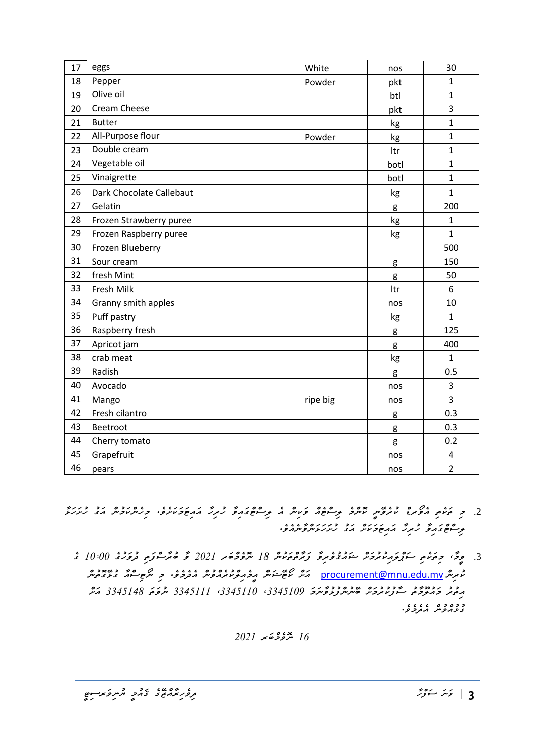| 17 | eggs                     | White    | nos  | 30             |
|----|--------------------------|----------|------|----------------|
| 18 | Pepper                   | Powder   | pkt  | 1              |
| 19 | Olive oil                |          | btl  | 1              |
| 20 | Cream Cheese             |          | pkt  | 3              |
| 21 | <b>Butter</b>            |          | kg   | $\mathbf{1}$   |
| 22 | All-Purpose flour        | Powder   | kg   | 1              |
| 23 | Double cream             |          | ltr  | $\mathbf{1}$   |
| 24 | Vegetable oil            |          | botl | $\mathbf{1}$   |
| 25 | Vinaigrette              |          | botl | $\mathbf{1}$   |
| 26 | Dark Chocolate Callebaut |          | kg   | $\mathbf{1}$   |
| 27 | Gelatin                  |          | g    | 200            |
| 28 | Frozen Strawberry puree  |          | kg   | $\mathbf{1}$   |
| 29 | Frozen Raspberry puree   |          | kg   | 1              |
| 30 | Frozen Blueberry         |          |      | 500            |
| 31 | Sour cream               |          | g    | 150            |
| 32 | fresh Mint               |          | g    | 50             |
| 33 | Fresh Milk               |          | Itr  | 6              |
| 34 | Granny smith apples      |          | nos  | 10             |
| 35 | Puff pastry              |          | kg   | $\mathbf{1}$   |
| 36 | Raspberry fresh          |          | g    | 125            |
| 37 | Apricot jam              |          | g    | 400            |
| 38 | crab meat                |          | kg   | $\mathbf{1}$   |
| 39 | Radish                   |          | g    | 0.5            |
| 40 | Avocado                  |          | nos  | 3              |
| 41 | Mango                    | ripe big | nos  | 3              |
| 42 | Fresh cilantro           |          | g    | 0.3            |
| 43 | Beetroot                 |          | g    | 0.3            |
| 44 | Cherry tomato            |          | g    | 0.2            |
| 45 | Grapefruit               |          | nos  | 4              |
| 46 | pears                    |          | nos  | $\overline{2}$ |

- .<br>2. ح حزمت المحری المروس المسرد توسط الله عن الله عن الله عن الله عن الله عن الله عن الله الله الله الله الله ا<br>2. ح حزمت الله عن الله عن الله عن الله عن الله عن الله عن الله الله عن الله عن الله عن الله عن الله عن الله *ލިސްޓްގައިވާ ހުރިހާ އައިޓަމަކަށް އަގު ހުށަހަޅަންވާނެއެވ.ެ* 
	- .3 *ވީމ،ާ މިތަކެތި ސަޕްލައިކުރުމަށް ޝައުޤުވެރިވާ ފަރާތްތަކުން 18 ނޮވެމްބަރ 2021 ވާ ބުރާސްފަތި ދުވަހުގެ 10:00 ގެ*  غسپس <mark>procurement@mnu.edu.mv كې موسى مۇرى</mark>م ئىككى كىلىمى كېيىتى كىلىمى ئىككى كېيىتى كېيىتى كېيىتى كېيىتى كېيىتى كېيىت *އިތުރު މައުލޫމާތު ސާފުކުރުމަށް ބޭނުންފުޅުވާނަމަ ،3345109 ،3345110 3345111 ނުވަތަ 3345148 އަށް ގުޅުއްވުން އެދެމެވ.ެ*

*16 ނޮވެމްބަރ*